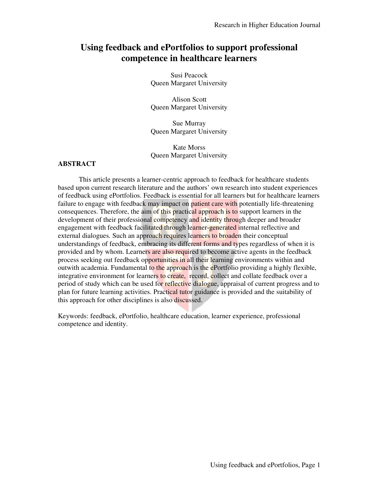# **Using feedback and ePortfolios to support professional competence in healthcare learners**

Susi Peacock Queen Margaret University

Alison Scott Queen Margaret University

Sue Murray Queen Margaret University

Kate Morss Queen Margaret University

### **ABSTRACT**

 This article presents a learner-centric approach to feedback for healthcare students based upon current research literature and the authors' own research into student experiences of feedback using ePortfolios. Feedback is essential for all learners but for healthcare learners failure to engage with feedback may impact on patient care with potentially life-threatening consequences. Therefore, the aim of this practical approach is to support learners in the development of their professional competency and identity through deeper and broader engagement with feedback facilitated through learner-generated internal reflective and external dialogues. Such an approach requires learners to broaden their conceptual understandings of feedback, embracing its different forms and types regardless of when it is provided and by whom. Learners are also required to become active agents in the feedback process seeking out feedback opportunities in all their learning environments within and outwith academia. Fundamental to the approach is the ePortfolio providing a highly flexible, integrative environment for learners to create, record, collect and collate feedback over a period of study which can be used for reflective dialogue, appraisal of current progress and to plan for future learning activities. Practical tutor guidance is provided and the suitability of this approach for other disciplines is also discussed.

Keywords: feedback, ePortfolio, healthcare education, learner experience, professional competence and identity.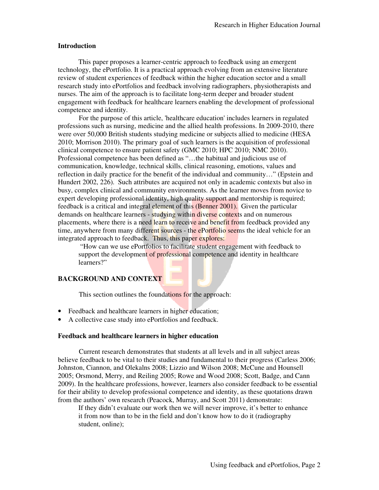#### **Introduction**

This paper proposes a learner-centric approach to feedback using an emergent technology, the ePortfolio. It is a practical approach evolving from an extensive literature review of student experiences of feedback within the higher education sector and a small research study into ePortfolios and feedback involving radiographers, physiotherapists and nurses. The aim of the approach is to facilitate long-term deeper and broader student engagement with feedback for healthcare learners enabling the development of professional competence and identity.

For the purpose of this article, 'healthcare education' includes learners in regulated professions such as nursing, medicine and the allied health professions. In 2009-2010, there were over 50,000 British students studying medicine or subjects allied to medicine (HESA 2010; Morrison 2010). The primary goal of such learners is the acquisition of professional clinical competence to ensure patient safety (GMC 2010; HPC 2010; NMC 2010). Professional competence has been defined as "…the habitual and judicious use of communication, knowledge, technical skills, clinical reasoning, emotions, values and reflection in daily practice for the benefit of the individual and community…" (Epstein and Hundert 2002, 226). Such attributes are acquired not only in academic contexts but also in busy, complex clinical and community environments. As the learner moves from novice to expert developing professional identity, high quality support and mentorship is required; feedback is a critical and integral element of this (Benner 2001). Given the particular demands on healthcare learners - studying within diverse contexts and on numerous placements, where there is a need learn to receive and benefit from feedback provided any time, anywhere from many different sources - the ePortfolio seems the ideal vehicle for an integrated approach to feedback. Thus, this paper explores:

 "How can we use ePortfolios to facilitate student engagement with feedback to support the development of professional competence and identity in healthcare learners?"

# **BACKGROUND AND CONTEXT**

This section outlines the foundations for the approach:

- Feedback and healthcare learners in higher education;
- A collective case study into ePortfolios and feedback.

#### **Feedback and healthcare learners in higher education**

Current research demonstrates that students at all levels and in all subject areas believe feedback to be vital to their studies and fundamental to their progress (Carless 2006; Johnston, Ciannon, and Olekalns 2008; Lizzio and Wilson 2008; McCune and Hounsell 2005; Orsmond, Merry, and Reiling 2005; Rowe and Wood 2008; Scott, Badge, and Cann 2009). In the healthcare professions, however, learners also consider feedback to be essential for their ability to develop professional competence and identity, as these quotations drawn from the authors' own research (Peacock, Murray, and Scott 2011) demonstrate:

If they didn't evaluate our work then we will never improve, it's better to enhance it from now than to be in the field and don't know how to do it (radiography student, online);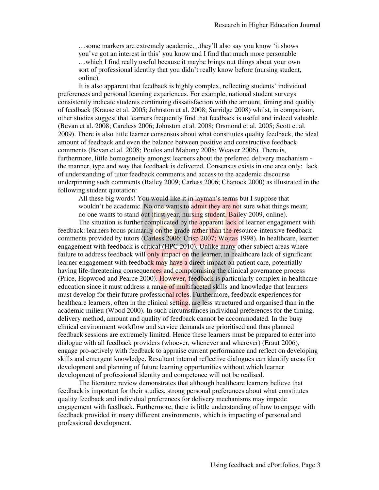…some markers are extremely academic…they'll also say you know 'it shows you've got an interest in this' you know and I find that much more personable …which I find really useful because it maybe brings out things about your own sort of professional identity that you didn't really know before (nursing student, online).

It is also apparent that feedback is highly complex, reflecting students' individual preferences and personal learning experiences. For example, national student surveys consistently indicate students continuing dissatisfaction with the amount, timing and quality of feedback (Krause et al. 2005; Johnston et al. 2008; Surridge 2008) whilst, in comparison, other studies suggest that learners frequently find that feedback is useful and indeed valuable (Bevan et al. 2008; Careless 2006; Johnston et al. 2008; Orsmond et al. 2005; Scott et al. 2009). There is also little learner consensus about what constitutes quality feedback, the ideal amount of feedback and even the balance between positive and constructive feedback comments (Bevan et al. 2008; Poulos and Mahony 2008; Weaver 2006). There is, furthermore, little homogeneity amongst learners about the preferred delivery mechanism the manner, type and way that feedback is delivered. Consensus exists in one area only: lack of understanding of tutor feedback comments and access to the academic discourse underpinning such comments (Bailey 2009; Carless 2006; Chanock 2000) as illustrated in the following student quotation:

All these big words! You would like it in layman's terms but I suppose that wouldn't be academic. No one wants to admit they are not sure what things mean; no one wants to stand out (first year, nursing student, Bailey 2009, online).

The situation is further complicated by the apparent lack of learner engagement with feedback: learners focus primarily on the grade rather than the resource-intensive feedback comments provided by tutors (Carless 2006; Crisp 2007; Wojtas 1998). In healthcare, learner engagement with feedback is critical (HPC 2010). Unlike many other subject areas where failure to address feedback will only impact on the learner, in healthcare lack of significant learner engagement with feedback may have a direct impact on patient care, potentially having life-threatening consequences and compromising the clinical governance process (Price, Hopwood and Pearce 2000). However, feedback is particularly complex in healthcare education since it must address a range of multifaceted skills and knowledge that learners must develop for their future professional roles. Furthermore, feedback experiences for healthcare learners, often in the clinical setting, are less structured and organised than in the academic milieu (Wood 2000). In such circumstances individual preferences for the timing, delivery method, amount and quality of feedback cannot be accommodated. In the busy clinical environment workflow and service demands are prioritised and thus planned feedback sessions are extremely limited. Hence these learners must be prepared to enter into dialogue with all feedback providers (whoever, whenever and wherever) (Eraut 2006), engage pro-actively with feedback to appraise current performance and reflect on developing skills and emergent knowledge. Resultant internal reflective dialogues can identify areas for development and planning of future learning opportunities without which learner development of professional identity and competence will not be realised.

The literature review demonstrates that although healthcare learners believe that feedback is important for their studies, strong personal preferences about what constitutes quality feedback and individual preferences for delivery mechanisms may impede engagement with feedback. Furthermore, there is little understanding of how to engage with feedback provided in many different environments, which is impacting of personal and professional development.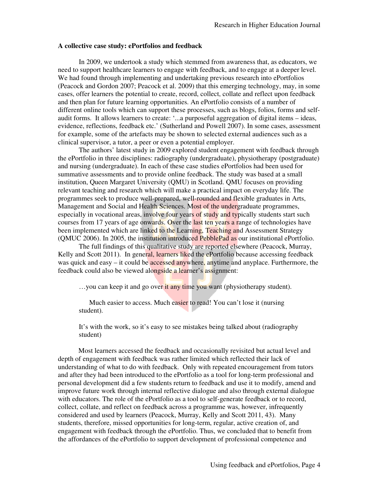#### **A collective case study: ePortfolios and feedback**

In 2009, we undertook a study which stemmed from awareness that, as educators, we need to support healthcare learners to engage with feedback, and to engage at a deeper level. We had found through implementing and undertaking previous research into ePortfolios (Peacock and Gordon 2007; Peacock et al. 2009) that this emerging technology, may, in some cases, offer learners the potential to create, record, collect, collate and reflect upon feedback and then plan for future learning opportunities. An ePortfolio consists of a number of different online tools which can support these processes, such as blogs, folios, forms and selfaudit forms. It allows learners to create: '...a purposeful aggregation of digital items – ideas, evidence, reflections, feedback etc.' (Sutherland and Powell 2007). In some cases, assessment for example, some of the artefacts may be shown to selected external audiences such as a clinical supervisor, a tutor, a peer or even a potential employer.

The authors' latest study in 2009 explored student engagement with feedback through the ePortfolio in three disciplines: radiography (undergraduate), physiotherapy (postgraduate) and nursing (undergraduate). In each of these case studies ePortfolios had been used for summative assessments and to provide online feedback. The study was based at a small institution, Queen Margaret University (QMU) in Scotland. QMU focuses on providing relevant teaching and research which will make a practical impact on everyday life. The programmes seek to produce well-prepared, well-rounded and flexible graduates in Arts, Management and Social and Health Sciences. Most of the undergraduate programmes, especially in vocational areas, involve four years of study and typically students start such courses from 17 years of age onwards. Over the last ten years a range of technologies have been implemented which are linked to the Learning, Teaching and Assessment Strategy (QMUC 2006). In 2005, the institution introduced PebblePad as our institutional ePortfolio.

The full findings of this qualitative study are reported elsewhere (Peacock, Murray, Kelly and Scott 2011). In general, learners liked the ePortfolio because accessing feedback was quick and easy – it could be accessed anywhere, anytime and anyplace. Furthermore, the feedback could also be viewed alongside a learner's assignment:

...you can keep it and go over it any time you want (physiotherapy student).

Much easier to access. Much easier to read! You can't lose it (nursing student).

It's with the work, so it's easy to see mistakes being talked about (radiography student)

Most learners accessed the feedback and occasionally revisited but actual level and depth of engagement with feedback was rather limited which reflected their lack of understanding of what to do with feedback. Only with repeated encouragement from tutors and after they had been introduced to the ePortfolio as a tool for long-term professional and personal development did a few students return to feedback and use it to modify, amend and improve future work through internal reflective dialogue and also through external dialogue with educators. The role of the ePortfolio as a tool to self-generate feedback or to record, collect, collate, and reflect on feedback across a programme was, however, infrequently considered and used by learners (Peacock, Murray, Kelly and Scott 2011, 43). Many students, therefore, missed opportunities for long-term, regular, active creation of, and engagement with feedback through the ePortfolio. Thus, we concluded that to benefit from the affordances of the ePortfolio to support development of professional competence and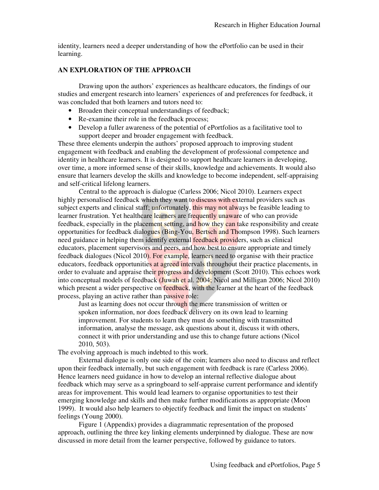identity, learners need a deeper understanding of how the ePortfolio can be used in their learning.

#### **AN EXPLORATION OF THE APPROACH**

Drawing upon the authors' experiences as healthcare educators, the findings of our studies and emergent research into learners' experiences of and preferences for feedback, it was concluded that both learners and tutors need to:

- Broaden their conceptual understandings of feedback:
- Re-examine their role in the feedback process;
- Develop a fuller awareness of the potential of ePortfolios as a facilitative tool to support deeper and broader engagement with feedback.

These three elements underpin the authors' proposed approach to improving student engagement with feedback and enabling the development of professional competence and identity in healthcare learners. It is designed to support healthcare learners in developing, over time, a more informed sense of their skills, knowledge and achievements. It would also ensure that learners develop the skills and knowledge to become independent, self-appraising and self-critical lifelong learners.

Central to the approach is dialogue (Carless 2006; Nicol 2010). Learners expect highly personalised feedback which they want to discuss with external providers such as subject experts and clinical staff; unfortunately, this may not always be feasible leading to learner frustration. Yet healthcare learners are frequently unaware of who can provide feedback, especially in the placement setting, and how they can take responsibility and create opportunities for feedback dialogues (Bing-You, Bertsch and Thompson 1998). Such learners need guidance in helping them identify external feedback providers, such as clinical educators, placement supervisors and peers, and how best to ensure appropriate and timely feedback dialogues (Nicol 2010). For example, learners need to organise with their practice educators, feedback opportunities at agreed intervals throughout their practice placements, in order to evaluate and appraise their progress and development (Scott 2010). This echoes work into conceptual models of feedback (Juwah et al. 2004; Nicol and Milligan 2006; Nicol 2010) which present a wider perspective on feedback, with the learner at the heart of the feedback process, playing an active rather than passive role:

Just as learning does not occur through the mere transmission of written or spoken information, nor does feedback delivery on its own lead to learning improvement. For students to learn they must do something with transmitted information, analyse the message, ask questions about it, discuss it with others, connect it with prior understanding and use this to change future actions (Nicol 2010, 503).

The evolving approach is much indebted to this work.

External dialogue is only one side of the coin; learners also need to discuss and reflect upon their feedback internally, but such engagement with feedback is rare (Carless 2006). Hence learners need guidance in how to develop an internal reflective dialogue about feedback which may serve as a springboard to self-appraise current performance and identify areas for improvement. This would lead learners to organise opportunities to test their emerging knowledge and skills and then make further modifications as appropriate (Moon 1999). It would also help learners to objectify feedback and limit the impact on students' feelings (Young 2000).

Figure 1 (Appendix) provides a diagrammatic representation of the proposed approach, outlining the three key linking elements underpinned by dialogue. These are now discussed in more detail from the learner perspective, followed by guidance to tutors.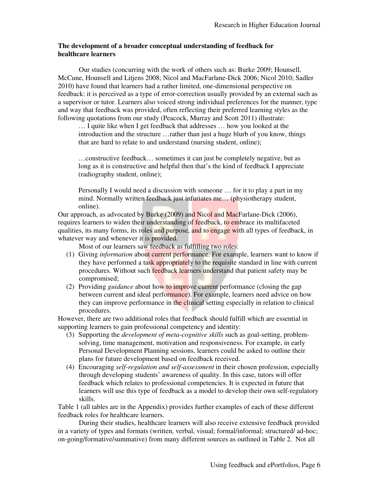### **The development of a broader conceptual understanding of feedback for healthcare learners**

Our studies (concurring with the work of others such as: Burke 2009; Hounsell, McCune, Hounsell and Litjens 2008; Nicol and MacFarlane-Dick 2006; Nicol 2010; Sadler 2010) have found that learners had a rather limited, one-dimensional perspective on feedback: it is perceived as a type of error-correction usually provided by an external such as a supervisor or tutor. Learners also voiced strong individual preferences for the manner, type and way that feedback was provided, often reflecting their preferred learning styles as the following quotations from our study (Peacock, Murray and Scott 2011) illustrate:

… I quite like when I get feedback that addresses … how you looked at the introduction and the structure …rather than just a huge blurb of you know, things that are hard to relate to and understand (nursing student, online);

…constructive feedback… sometimes it can just be completely negative, but as long as it is constructive and helpful then that's the kind of feedback I appreciate (radiography student, online);

Personally I would need a discussion with someone … for it to play a part in my mind. Normally written feedback just infuriates me… (physiotherapy student, online).

Our approach, as advocated by Burke (2009) and Nicol and MacFarlane-Dick (2006), requires learners to widen their understanding of feedback, to embrace its multifaceted qualities, its many forms, its roles and purpose, and to engage with all types of feedback, in whatever way and whenever it is provided.

Most of our learners saw feedback as fulfilling two roles:

- (1) Giving *information* about current performance. For example, learners want to know if they have performed a task appropriately to the requisite standard in line with current procedures. Without such feedback learners understand that patient safety may be compromised;
- (2) Providing *guidance* about how to improve current performance (closing the gap between current and ideal performance). For example, learners need advice on how they can improve performance in the clinical setting especially in relation to clinical procedures.

However, there are two additional roles that feedback should fulfill which are essential in supporting learners to gain professional competency and identity:

- (3) Supporting the *development of meta-cognitive skills* such as goal-setting, problemsolving, time management, motivation and responsiveness. For example, in early Personal Development Planning sessions, learners could be asked to outline their plans for future development based on feedback received.
- (4) Encouraging *self-regulation and self-assessment* in their chosen profession, especially through developing students' awareness of quality. In this case, tutors will offer feedback which relates to professional competencies. It is expected in future that learners will use this type of feedback as a model to develop their own self-regulatory skills.

Table 1 (all tables are in the Appendix) provides further examples of each of these different feedback roles for healthcare learners.

During their studies, healthcare learners will also receive extensive feedback provided in a variety of types and formats (written, verbal, visual; formal/informal; structured/ ad-hoc; on-going/formative/summative) from many different sources as outlined in Table 2. Not all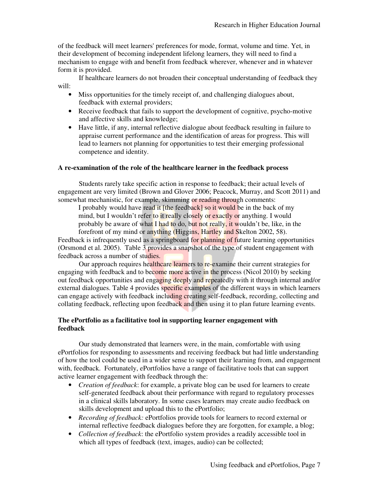of the feedback will meet learners' preferences for mode, format, volume and time. Yet, in their development of becoming independent lifelong learners, they will need to find a mechanism to engage with and benefit from feedback wherever, whenever and in whatever form it is provided.

If healthcare learners do not broaden their conceptual understanding of feedback they will:

- Miss opportunities for the timely receipt of, and challenging dialogues about, feedback with external providers;
- Receive feedback that fails to support the development of cognitive, psycho-motive and affective skills and knowledge;
- Have little, if any, internal reflective dialogue about feedback resulting in failure to appraise current performance and the identification of areas for progress. This will lead to learners not planning for opportunities to test their emerging professional competence and identity.

### **A re-examination of the role of the healthcare learner in the feedback process**

Students rarely take specific action in response to feedback; their actual levels of engagement are very limited (Brown and Glover 2006; Peacock, Murray, and Scott 2011) and somewhat mechanistic, for example, skimming or reading through comments:

I probably would have read it [the feedback] so it would be in the back of my mind, but I wouldn't refer to it really closely or exactly or anything. I would probably be aware of what I had to do, but not really, it wouldn't be, like, in the forefront of my mind or anything (Higgins, Hartley and Skelton 2002, 58).

Feedback is infrequently used as a springboard for planning of future learning opportunities (Orsmond et al. 2005). Table 3 provides a snapshot of the type of student engagement with feedback across a number of studies.

Our approach requires healthcare learners to re-examine their current strategies for engaging with feedback and to become more active in the process (Nicol 2010) by seeking out feedback opportunities and engaging deeply and repeatedly with it through internal and/or external dialogues. Table 4 provides specific examples of the different ways in which learners can engage actively with feedback including creating self-feedback, recording, collecting and collating feedback, reflecting upon feedback and then using it to plan future learning events.

# **The ePortfolio as a facilitative tool in supporting learner engagement with feedback**

Our study demonstrated that learners were, in the main, comfortable with using ePortfolios for responding to assessments and receiving feedback but had little understanding of how the tool could be used in a wider sense to support their learning from, and engagement with, feedback. Fortunately, ePortfolios have a range of facilitative tools that can support active learner engagement with feedback through the:

- *Creation of feedback*: for example, a private blog can be used for learners to create self-generated feedback about their performance with regard to regulatory processes in a clinical skills laboratory. In some cases learners may create audio feedback on skills development and upload this to the ePortfolio;
- *Recording of feedback:* ePortfolios provide tools for learners to record external or internal reflective feedback dialogues before they are forgotten, for example, a blog;
- *Collection of feedback*: the ePortfolio system provides a readily accessible tool in which all types of feedback (text, images, audio) can be collected;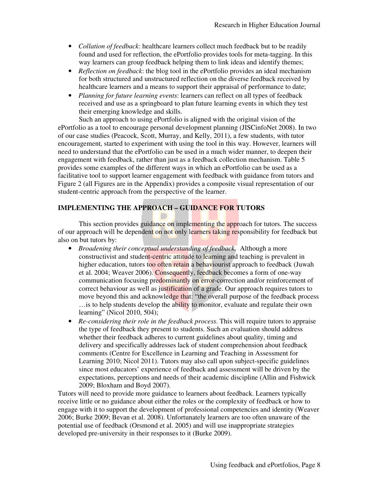- *Collation of feedback*: healthcare learners collect much feedback but to be readily found and used for reflection, the ePortfolio provides tools for meta-tagging. In this way learners can group feedback helping them to link ideas and identify themes;
- *Reflection on feedback*: the blog tool in the ePortfolio provides an ideal mechanism for both structured and unstructured reflection on the diverse feedback received by healthcare learners and a means to support their appraisal of performance to date;
- *Planning for future learning events*: learners can reflect on all types of feedback received and use as a springboard to plan future learning events in which they test their emerging knowledge and skills.

Such an approach to using ePortfolio is aligned with the original vision of the ePortfolio as a tool to encourage personal development planning (JISCinfoNet 2008). In two of our case studies (Peacock, Scott, Murray, and Kelly, 2011), a few students, with tutor encouragement, started to experiment with using the tool in this way. However, learners will need to understand that the ePortfolio can be used in a much wider manner, to deepen their engagement with feedback, rather than just as a feedback collection mechanism. Table 5 provides some examples of the different ways in which an ePortfolio can be used as a facilitative tool to support learner engagement with feedback with guidance from tutors and Figure 2 (all Figures are in the Appendix) provides a composite visual representation of our student-centric approach from the perspective of the learner.

# **IMPLEMENTING THE APPROACH – GUIDANCE FOR TUTORS**

This section provides guidance on implementing the approach for tutors. The success of our approach will be dependent on not only learners taking responsibility for feedback but also on but tutors by:

- *Broadening their conceptual understanding of feedback.* Although a more constructivist and student-centric attitude to learning and teaching is prevalent in higher education, tutors too often retain a behaviourist approach to feedback (Juwah et al. 2004; Weaver 2006). Consequently, feedback becomes a form of one-way communication focusing predominantly on error-correction and/or reinforcement of correct behaviour as well as justification of a grade. Our approach requires tutors to move beyond this and acknowledge that: "the overall purpose of the feedback process …is to help students develop the ability to monitor, evaluate and regulate their own learning" (Nicol 2010, 504);
- *Re-considering their role in the feedback process*. This will require tutors to appraise the type of feedback they present to students. Such an evaluation should address whether their feedback adheres to current guidelines about quality, timing and delivery and specifically addresses lack of student comprehension about feedback comments (Centre for Excellence in Learning and Teaching in Assessment for Learning 2010; Nicol 2011). Tutors may also call upon subject-specific guidelines since most educators' experience of feedback and assessment will be driven by the expectations, perceptions and needs of their academic discipline (Allin and Fishwick 2009; Bloxham and Boyd 2007).

Tutors will need to provide more guidance to learners about feedback. Learners typically receive little or no guidance about either the roles or the complexity of feedback or how to engage with it to support the development of professional competencies and identity (Weaver 2006; Burke 2009; Bevan et al. 2008). Unfortunately learners are too often unaware of the potential use of feedback (Orsmond et al. 2005) and will use inappropriate strategies developed pre-university in their responses to it (Burke 2009).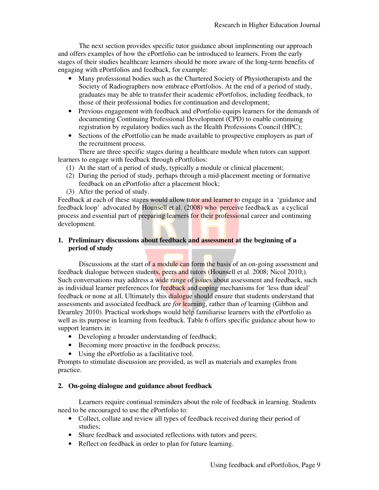The next section provides specific tutor guidance about implementing our approach and offers examples of how the ePortfolio can be introduced to learners. From the early stages of their studies healthcare learners should be more aware of the long-term benefits of engaging with ePortfolios and feedback, for example:

- Many professional bodies such as the Chartered Society of Physiotherapists and the Society of Radiographers now embrace ePortfolios. At the end of a period of study, graduates may be able to transfer their academic ePortfolios, including feedback, to those of their professional bodies for continuation and development;
- Previous engagement with feedback and ePortfolio equips learners for the demands of documenting Continuing Professional Development (CPD) to enable continuing registration by regulatory bodies such as the Health Professions Council (HPC);
- Sections of the ePortfolio can be made available to prospective employers as part of the recruitment process.

There are three specific stages during a healthcare module when tutors can support learners to engage with feedback through ePortfolios:

- (1) At the start of a period of study, typically a module or clinical placement;
- (2) During the period of study, perhaps through a mid-placement meeting or formative feedback on an ePortfolio after a placement block;
- (3) After the period of study.

Feedback at each of these stages would allow tutor and learner to engage in a 'guidance and feedback loop' advocated by Hounsell et al. (2008) who perceive feedback as a cyclical process and essential part of preparing learners for their professional career and continuing development.

# **1. Preliminary discussions about feedback and assessment at the beginning of a period of study**

Discussions at the start of a module can form the basis of an on-going assessment and feedback dialogue between students, peers and tutors (Hounsell et al. 2008; Nicol 2010;). Such conversations may address a wide range of issues about assessment and feedback, such as individual learner preferences for feedback and coping mechanisms for 'less than ideal' feedback or none at all. Ultimately this dialogue should ensure that students understand that assessments and associated feedback are *for* learning, rather than *of* learning (Gibbon and Dearnley 2010). Practical workshops would help familiarise learners with the ePortfolio as well as its purpose in learning from feedback. Table 6 offers specific guidance about how to support learners in:

- Developing a broader understanding of feedback;
- Becoming more proactive in the feedback process;
- Using the ePortfolio as a facilitative tool.

Prompts to stimulate discussion are provided, as well as materials and examples from practice.

# **2. On-going dialogue and guidance about feedback**

Learners require continual reminders about the role of feedback in learning. Students need to be encouraged to use the ePortfolio to:

- Collect, collate and review all types of feedback received during their period of studies;
- Share feedback and associated reflections with tutors and peers;
- Reflect on feedback in order to plan for future learning.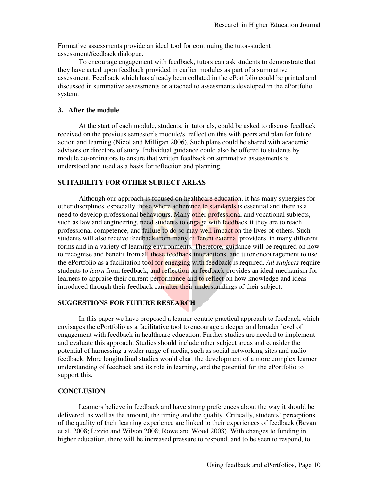Formative assessments provide an ideal tool for continuing the tutor-student assessment/feedback dialogue.

To encourage engagement with feedback, tutors can ask students to demonstrate that they have acted upon feedback provided in earlier modules as part of a summative assessment. Feedback which has already been collated in the ePortfolio could be printed and discussed in summative assessments or attached to assessments developed in the ePortfolio system.

### **3. After the module**

At the start of each module, students, in tutorials, could be asked to discuss feedback received on the previous semester's module/s, reflect on this with peers and plan for future action and learning (Nicol and Milligan 2006). Such plans could be shared with academic advisors or directors of study. Individual guidance could also be offered to students by module co-ordinators to ensure that written feedback on summative assessments is understood and used as a basis for reflection and planning.

### **SUITABILITY FOR OTHER SUBJECT AREAS**

Although our approach is focused on healthcare education, it has many synergies for other disciplines, especially those where adherence to standards is essential and there is a need to develop professional behaviours. Many other professional and vocational subjects, such as law and engineering, need students to engage with feedback if they are to reach professional competence, and failure to do so may well impact on the lives of others. Such students will also receive feedback from many different external providers, in many different forms and in a variety of learning environments. Therefore, guidance will be required on how to recognise and benefit from all these feedback interactions, and tutor encouragement to use the ePortfolio as a facilitation tool for engaging with feedback is required. *All subjects* require students to *learn* from feedback, and reflection on feedback provides an ideal mechanism for learners to appraise their current performance and to reflect on how knowledge and ideas introduced through their feedback can alter their understandings of their subject.

### **SUGGESTIONS FOR FUTURE RESEARCH**

In this paper we have proposed a learner-centric practical approach to feedback which envisages the ePortfolio as a facilitative tool to encourage a deeper and broader level of engagement with feedback in healthcare education. Further studies are needed to implement and evaluate this approach. Studies should include other subject areas and consider the potential of harnessing a wider range of media, such as social networking sites and audio feedback. More longitudinal studies would chart the development of a more complex learner understanding of feedback and its role in learning, and the potential for the ePortfolio to support this.

### **CONCLUSION**

Learners believe in feedback and have strong preferences about the way it should be delivered, as well as the amount, the timing and the quality. Critically, students' perceptions of the quality of their learning experience are linked to their experiences of feedback (Bevan et al. 2008; Lizzio and Wilson 2008; Rowe and Wood 2008). With changes to funding in higher education, there will be increased pressure to respond, and to be seen to respond, to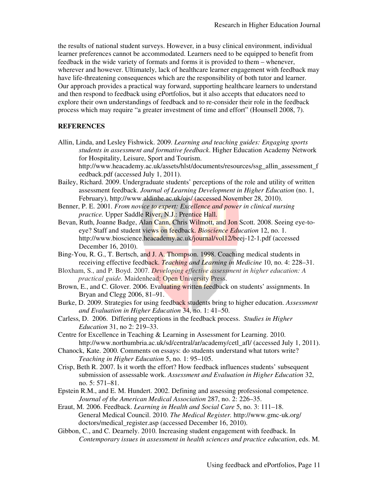the results of national student surveys. However, in a busy clinical environment, individual learner preferences cannot be accommodated. Learners need to be equipped to benefit from feedback in the wide variety of formats and forms it is provided to them – whenever, wherever and however. Ultimately, lack of healthcare learner engagement with feedback may have life-threatening consequences which are the responsibility of both tutor and learner. Our approach provides a practical way forward, supporting healthcare learners to understand and then respond to feedback using ePortfolios, but it also accepts that educators need to explore their own understandings of feedback and to re-consider their role in the feedback process which may require "a greater investment of time and effort" (Hounsell 2008, 7).

### **REFERENCES**

- Allin, Linda, and Lesley Fishwick. 2009. *Learning and teaching guides: Engaging sports students in assessment and formative feedback*. Higher Education Academy Network for Hospitality, Leisure, Sport and Tourism. http://www.heacademy.ac.uk/assets/hlst/documents/resources/ssg\_allin\_assessment\_f
- eedback.pdf (accessed July 1, 2011). Bailey, Richard. 2009. Undergraduate students' perceptions of the role and utility of written
- assessment feedback. *Journal of Learning Development in Higher Education* (no. 1, February), http://www.aldinhe.ac.uk/ojs/ (accessed November 28, 2010).
- Benner, P. E. 2001. *From novice to expert: Excellence and power in clinical nursing practice.* Upper Saddle River, N.J.: Prentice Hall.
- Bevan, Ruth, Joanne Badge, Alan Cann, Chris Wilmott, and Jon Scott. 2008. Seeing eye-toeye? Staff and student views on feedback. *Bioscience Education* 12, no. 1. http://www.bioscience.heacademy.ac.uk/journal/vol12/beej-12-1.pdf (accessed December 16, 2010).
- Bing-You, R. G., T. Bertsch, and J. A. Thompson. 1998. Coaching medical students in receiving effective feedback. *Teaching and Learning in Medicine* 10, no. 4: 228–31.
- Bloxham, S., and P. Boyd. 2007. *Developing effective assessment in higher education: A practical guide.* Maidenhead: Open University Press.
- Brown, E., and C. Glover. 2006. Evaluating written feedback on students' assignments. In Bryan and Clegg 2006, 81–91.
- Burke, D. 2009. Strategies for using feedback students bring to higher education. *Assessment and Evaluation in Higher Education* 34, no. 1: 41–50.
- Carless, D. 2006. Differing perceptions in the feedback process. *Studies in Higher Education* 31, no 2: 219–33.
- Centre for Excellence in Teaching & Learning in Assessment for Learning. 2010. http://www.northumbria.ac.uk/sd/central/ar/academy/cetl\_afl/ (accessed July 1, 2011).
- Chanock, Kate. 2000. Comments on essays: do students understand what tutors write? *Teaching in Higher Education* 5, no. 1: 95–105.
- Crisp, Beth R. 2007. Is it worth the effort? How feedback influences students' subsequent submission of assessable work. *Assessment and Evaluation in Higher Education* 32, no. 5: 571–81.
- Epstein R.M., and E. M. Hundert. 2002. Defining and assessing professional competence. *Journal of the American Medical Association* 287, no. 2: 226–35.
- Eraut, M. 2006. Feedback. *Learning in Health and Social Care* 5, no. 3: 111–18. General Medical Council. 2010. *The Medical Register.* http://www.gmc-uk.org/ doctors/medical\_register.asp (accessed December 16, 2010).
- Gibbon, C., and C. Dearnely. 2010. Increasing student engagement with feedback. In *Contemporary issues in assessment in health sciences and practice education*, eds. M.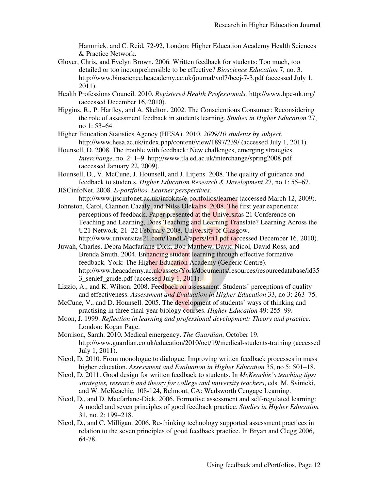Hammick. and C. Reid, 72-92, London: Higher Education Academy Health Sciences & Practice Network.

- Glover, Chris, and Evelyn Brown. 2006. Written feedback for students: Too much, too detailed or too incomprehensible to be effective? *Bioscience Education* 7, no. 3. http://www.bioscience.heacademy.ac.uk/journal/vol7/beej-7-3.pdf (accessed July 1, 2011).
- Health Professions Council. 2010. *Registered Health Professionals.* http://www.hpc-uk.org/ (accessed December 16, 2010).
- Higgins, R., P. Hartley, and A. Skelton. 2002. The Conscientious Consumer: Reconsidering the role of assessment feedback in students learning. *Studies in Higher Education* 27, no 1: 53–64.
- Higher Education Statistics Agency (HESA). 2010. *2009/10 students by subject*. http://www.hesa.ac.uk/index.php/content/view/1897/239/ (accessed July 1, 2011).
- Hounsell, D. 2008. The trouble with feedback: New challenges, emerging strategies. *Interchange,* no. 2: 1–9. http://www.tla.ed.ac.uk/interchange/spring2008.pdf (accessed January 22, 2009).
- Hounsell, D., V. McCune, J. Hounsell, and J. Litjens. 2008. The quality of guidance and feedback to students. *Higher Education Research & Development* 27, no 1: 55–67.
- JISCinfoNet. 2008. *E-portfolios. Learner perspectives*. http://www.jiscinfonet.ac.uk/infokits/e-portfolios/learner (accessed March 12, 2009).
- Johnston, Carol, Ciannon Cazaly, and Nilss Olekalns. 2008. The first year experience: perceptions of feedback. Paper presented at the Universitas 21 Conference on Teaching and Learning, Does Teaching and Learning Translate? Learning Across the U21 Network, 21–22 February 2008, University of Glasgow. http://www.universitas21.com/TandL/Papers/Fri1.pdf (accessed December 16, 2010).
- Juwah, Charles, Debra Macfarlane-Dick, Bob Matthew, David Nicol, David Ross, and Brenda Smith. 2004. Enhancing student learning through effective formative feedback. York: The Higher Education Academy (Generic Centre). http://www.heacademy.ac.uk/assets/York/documents/resources/resourcedatabase/id35 3\_senlef\_guide.pdf (accessed July 1, 2011).
- Lizzio, A., and K. Wilson. 2008. Feedback on assessment: Students' perceptions of quality and effectiveness. *Assessment and Evaluation in Higher Education* 33, no 3: 263–75.
- McCune, V., and D. Hounsell. 2005. The development of students' ways of thinking and practising in three final-year biology courses. *Higher Education* 49: 255–99.
- Moon, J. 1999. *Reflection in learning and professional development: Theory and practice*. London: Kogan Page.
- Morrison, Sarah. 2010. Medical emergency. *The Guardian*, October 19. http://www.guardian.co.uk/education/2010/oct/19/medical-students-training (accessed July 1, 2011).
- Nicol, D. 2010. From monologue to dialogue: Improving written feedback processes in mass higher education. *Assessment and Evaluation in Higher Education* 35, no 5: 501–18.
- Nicol, D. 2011. Good design for written feedback to students. In *McKeachie's teaching tips: strategies, research and theory for college and university teachers*, eds. M. Svinicki, and W. McKeachie, 108-124, Belmont, CA: Wadsworth Cengage Learning.
- Nicol, D., and D. Macfarlane-Dick. 2006. Formative assessment and self-regulated learning: A model and seven principles of good feedback practice. *Studies in Higher Education*  31, no. 2: 199–218.
- Nicol, D., and C. Milligan. 2006. Re-thinking technology supported assessment practices in relation to the seven principles of good feedback practice. In Bryan and Clegg 2006, 64-78.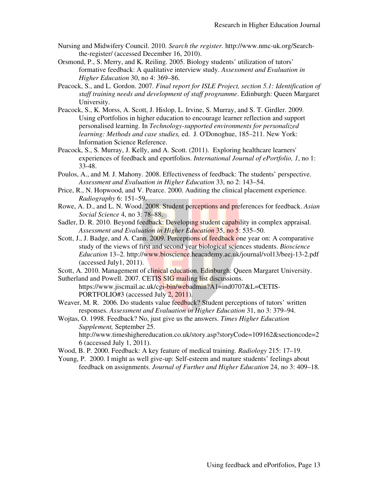- Nursing and Midwifery Council. 2010. *Search the register.* http://www.nmc-uk.org/Searchthe-register/ (accessed December 16, 2010).
- Orsmond, P., S. Merry, and K. Reiling. 2005. Biology students' utilization of tutors' formative feedback: A qualitative interview study. *Assessment and Evaluation in Higher Education* 30, no 4: 369–86.
- Peacock, S., and L. Gordon. 2007. *Final report for ISLE Project, section 5.1: Identification of staff training needs and development of staff programme*. Edinburgh: Queen Margaret University.
- Peacock, S., K. Morss, A. Scott, J. Hislop, L. Irvine, S. Murray, and S. T. Girdler. 2009. Using ePortfolios in higher education to encourage learner reflection and support personalised learning. In *Technology-supported environments for personalized learning: Methods and case studies,* ed. J. O'Donoghue, 185–211. New York: Information Science Reference.
- Peacock, S., S. Murray, J. Kelly, and A. Scott. (2011). Exploring healthcare learners' experiences of feedback and eportfolios. *International Journal of ePortfolio, 1*, no 1: 33-48.
- Poulos, A., and M. J. Mahony. 2008. Effectiveness of feedback: The students' perspective. *Assessment and Evaluation in Higher Education* 33, no 2: 143–54.
- Price, R., N. Hopwood, and V. Pearce. 2000. Auditing the clinical placement experience. *Radiography* 6: 151–59.
- Rowe, A. D., and L. N. Wood. 2008. Student perceptions and preferences for feedback. *Asian Social Science* 4, no 3: 78–88.
- Sadler, D. R. 2010. Beyond feedback: Developing student capability in complex appraisal. *Assessment and Evaluation in Higher Education* 35, no 5: 535–50.
- Scott, J., J. Badge, and A. Cann. 2009. Perceptions of feedback one year on: A comparative study of the views of first and second year biological sciences students. *Bioscience Education* 13–2. http://www.bioscience.heacademy.ac.uk/journal/vol13/beej-13-2.pdf (accessed July1, 2011).

Scott, A. 2010. Management of clinical education. Edinburgh: Queen Margaret University.

Sutherland and Powell. 2007. CETIS SIG mailing list discussions. https://www.jiscmail.ac.uk/cgi-bin/webadmin?A1=ind0707&L=CETIS-PORTFOLIO#3 (accessed July 2, 2011).

Weaver, M. R. 2006. Do students value feedback? Student perceptions of tutors' written responses. *Assessment and Evaluation in Higher Education* 31, no 3: 379–94.

Wojtas, O. 1998. Feedback? No, just give us the answers. *Times Higher Education Supplement,* September 25. http://www.timeshighereducation.co.uk/story.asp?storyCode=109162&sectioncode=2 6 (accessed July 1, 2011).

- Wood, B. P. 2000. Feedback: A key feature of medical training. *Radiology* 215: 17–19.
- Young, P. 2000. I might as well give-up: Self-esteem and mature students' feelings about feedback on assignments. *Journal of Further and Higher Education* 24, no 3: 409–18.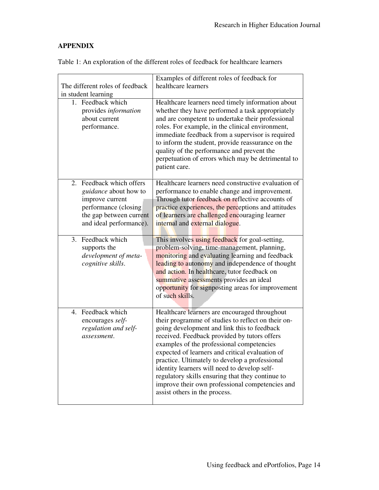# **APPENDIX**

| The different roles of feedback<br>in student learning<br>1. Feedback which<br>provides information<br>about current<br>performance.                                                                                                        | Examples of different roles of feedback for<br>healthcare learners<br>Healthcare learners need timely information about<br>whether they have performed a task appropriately<br>and are competent to undertake their professional<br>roles. For example, in the clinical environment,<br>immediate feedback from a supervisor is required<br>to inform the student, provide reassurance on the<br>quality of the performance and prevent the<br>perpetuation of errors which may be detrimental to<br>patient care.                                                                                                                                                             |
|---------------------------------------------------------------------------------------------------------------------------------------------------------------------------------------------------------------------------------------------|--------------------------------------------------------------------------------------------------------------------------------------------------------------------------------------------------------------------------------------------------------------------------------------------------------------------------------------------------------------------------------------------------------------------------------------------------------------------------------------------------------------------------------------------------------------------------------------------------------------------------------------------------------------------------------|
| 2. Feedback which offers<br><i>guidance</i> about how to<br>improve current<br>performance (closing<br>the gap between current<br>and ideal performance).<br>3. Feedback which<br>supports the<br>development of meta-<br>cognitive skills. | Healthcare learners need constructive evaluation of<br>performance to enable change and improvement.<br>Through tutor feedback on reflective accounts of<br>practice experiences, the perceptions and attitudes<br>of learners are challenged encouraging learner<br>internal and external dialogue.<br>This involves using feedback for goal-setting,<br>problem-solving, time-management, planning,<br>monitoring and evaluating learning and feedback<br>leading to autonomy and independence of thought<br>and action. In healthcare, tutor feedback on<br>summative assessments provides an ideal<br>opportunity for signposting areas for improvement<br>of such skills. |
| 4. Feedback which<br>encourages self-<br>regulation and self-<br>assessment.                                                                                                                                                                | Healthcare learners are encouraged throughout<br>their programme of studies to reflect on their on-<br>going development and link this to feedback<br>received. Feedback provided by tutors offers<br>examples of the professional competencies<br>expected of learners and critical evaluation of<br>practice. Ultimately to develop a professional<br>identity learners will need to develop self-<br>regulatory skills ensuring that they continue to<br>improve their own professional competencies and<br>assist others in the process.                                                                                                                                   |

Table 1: An exploration of the different roles of feedback for healthcare learners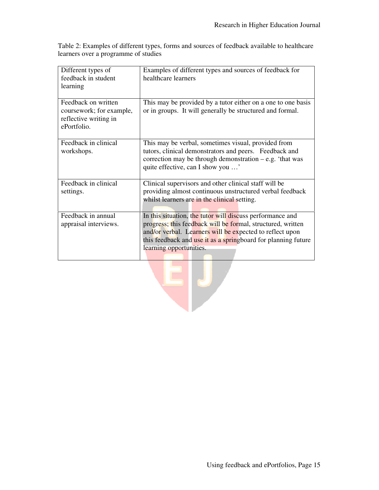Table 2: Examples of different types, forms and sources of feedback available to healthcare learners over a programme of studies

| Different types of<br>feedback in student<br>learning                                   | Examples of different types and sources of feedback for<br>healthcare learners                                                                                                                                                                                                   |
|-----------------------------------------------------------------------------------------|----------------------------------------------------------------------------------------------------------------------------------------------------------------------------------------------------------------------------------------------------------------------------------|
| Feedback on written<br>coursework; for example,<br>reflective writing in<br>ePortfolio. | This may be provided by a tutor either on a one to one basis<br>or in groups. It will generally be structured and formal.                                                                                                                                                        |
| Feedback in clinical<br>workshops.                                                      | This may be verbal, sometimes visual, provided from<br>tutors, clinical demonstrators and peers. Feedback and<br>correction may be through demonstration $-e.g.$ 'that was<br>quite effective, can I show you '                                                                  |
| Feedback in clinical<br>settings.                                                       | Clinical supervisors and other clinical staff will be<br>providing almost continuous unstructured verbal feedback<br>whilst learners are in the clinical setting.                                                                                                                |
| Feedback in annual<br>appraisal interviews.                                             | In this situation, the tutor will discuss performance and<br>progress; this feedback will be formal, structured, written<br>and/or verbal. Learners will be expected to reflect upon<br>this feedback and use it as a springboard for planning future<br>learning opportunities. |

 $=$   $\vert$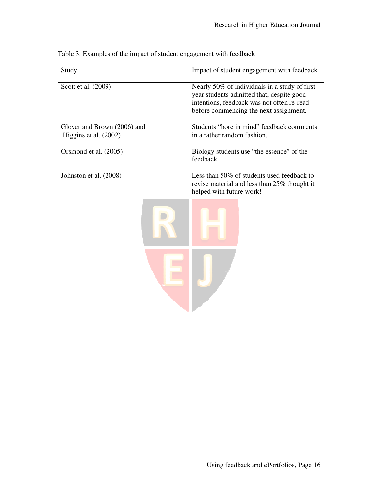| Study                       | Impact of student engagement with feedback                                                  |
|-----------------------------|---------------------------------------------------------------------------------------------|
| Scott et al. (2009)         | Nearly 50% of individuals in a study of first-<br>year students admitted that, despite good |
|                             | intentions, feedback was not often re-read                                                  |
|                             | before commencing the next assignment.                                                      |
|                             |                                                                                             |
| Glover and Brown (2006) and | Students "bore in mind" feedback comments                                                   |
| Higgins et al. (2002)       | in a rather random fashion.                                                                 |
| Orsmond et al. (2005)       | Biology students use "the essence" of the                                                   |
|                             | feedback.                                                                                   |
| Johnston et al. (2008)      | Less than 50% of students used feedback to                                                  |
|                             | revise material and less than 25% thought it                                                |
|                             | helped with future work!                                                                    |
|                             |                                                                                             |
|                             |                                                                                             |

Table 3: Examples of the impact of student engagement with feedback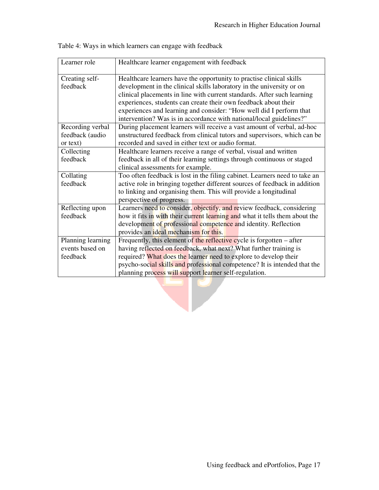| Learner role                                     | Healthcare learner engagement with feedback                                                                                                                                                                                                                                                                                                                                                                                               |  |
|--------------------------------------------------|-------------------------------------------------------------------------------------------------------------------------------------------------------------------------------------------------------------------------------------------------------------------------------------------------------------------------------------------------------------------------------------------------------------------------------------------|--|
| Creating self-<br>feedback                       | Healthcare learners have the opportunity to practise clinical skills<br>development in the clinical skills laboratory in the university or on<br>clinical placements in line with current standards. After such learning<br>experiences, students can create their own feedback about their<br>experiences and learning and consider: "How well did I perform that<br>intervention? Was is in accordance with national/local guidelines?" |  |
| Recording verbal<br>feedback (audio<br>or text)  | During placement learners will receive a vast amount of verbal, ad-hoc<br>unstructured feedback from clinical tutors and supervisors, which can be<br>recorded and saved in either text or audio format.                                                                                                                                                                                                                                  |  |
| Collecting<br>feedback                           | Healthcare learners receive a range of verbal, visual and written<br>feedback in all of their learning settings through continuous or staged<br>clinical assessments for example.                                                                                                                                                                                                                                                         |  |
| Collating<br>feedback                            | Too often feedback is lost in the filing cabinet. Learners need to take an<br>active role in bringing together different sources of feedback in addition<br>to linking and organising them. This will provide a longitudinal<br>perspective of progress.                                                                                                                                                                                  |  |
| Reflecting upon<br>feedback                      | Learners need to consider, objectify, and review feedback, considering<br>how it fits in with their current learning and what it tells them about the<br>development of professional competence and identity. Reflection<br>provides an ideal mechanism for this.                                                                                                                                                                         |  |
| Planning learning<br>events based on<br>feedback | Frequently, this element of the reflective cycle is forgotten – after<br>having reflected on feedback, what next? What further training is<br>required? What does the learner need to explore to develop their<br>psycho-social skills and professional competence? It is intended that the<br>planning process will support learner self-regulation.                                                                                     |  |
|                                                  |                                                                                                                                                                                                                                                                                                                                                                                                                                           |  |

Table 4: Ways in which learners can engage with feedback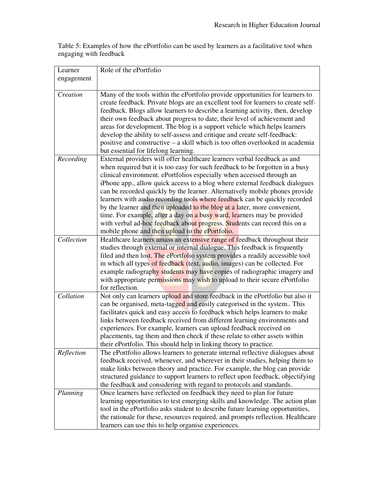Table 5: Examples of how the ePortfolio can be used by learners as a facilitative tool when engaging with feedback

| Learner    | Role of the ePortfolio                                                                                                                                   |
|------------|----------------------------------------------------------------------------------------------------------------------------------------------------------|
| engagement |                                                                                                                                                          |
|            |                                                                                                                                                          |
| Creation   | Many of the tools within the ePortfolio provide opportunities for learners to                                                                            |
|            | create feedback. Private blogs are an excellent tool for learners to create self-                                                                        |
|            | feedback. Blogs allow learners to describe a learning activity, then, develop                                                                            |
|            | their own feedback about progress to date, their level of achievement and<br>areas for development. The blog is a support vehicle which helps learners   |
|            | develop the ability to self-assess and critique and create self-feedback:                                                                                |
|            | positive and constructive – a skill which is too often overlooked in academia                                                                            |
|            | but essential for lifelong learning.                                                                                                                     |
| Recording  | External providers will offer healthcare learners verbal feedback as and                                                                                 |
|            | when required but it is too easy for such feedback to be forgotten in a busy                                                                             |
|            | clinical environment. ePortfolios especially when accessed through an                                                                                    |
|            | iPhone app., allow quick access to a blog where external feedback dialogues                                                                              |
|            | can be recorded quickly by the learner. Alternatively mobile phones provide                                                                              |
|            | learners with audio recording tools where feedback can be quickly recorded                                                                               |
|            | by the learner and then uploaded to the blog at a later, more convenient,                                                                                |
|            | time. For example, after a day on a busy ward, learners may be provided<br>with verbal ad-hoc feedback about progress. Students can record this on a     |
|            | mobile phone and then upload to the ePortfolio.                                                                                                          |
| Collection | Healthcare learners amass an extensive range of feedback throughout their                                                                                |
|            | studies through external or internal dialogue. This feedback is frequently                                                                               |
|            | filed and then lost. The ePortfolio system provides a readily accessible tool                                                                            |
|            | in which all types of feedback (text, audio, images) can be collected. For                                                                               |
|            | example radiography students may have copies of radiographic imagery and                                                                                 |
|            | with appropriate permissions may wish to upload to their secure ePortfolio                                                                               |
|            | for reflection.                                                                                                                                          |
| Collation  | Not only can learners upload and store feedback in the ePortfolio but also it<br>can be organised, meta-tagged and easily categorised in the system This |
|            | facilitates quick and easy access to feedback which helps learners to make                                                                               |
|            | links between feedback received from different learning environments and                                                                                 |
|            | experiences. For example, learners can upload feedback received on                                                                                       |
|            | placements, tag them and then check if these relate to other assets within                                                                               |
|            | their ePortfolio. This should help in linking theory to practice.                                                                                        |
| Reflection | The ePortfolio allows learners to generate internal reflective dialogues about                                                                           |
|            | feedback received, whenever, and wherever in their studies, helping them to                                                                              |
|            | make links between theory and practice. For example, the blog can provide                                                                                |
|            | structured guidance to support learners to reflect upon feedback, objectifying                                                                           |
| Planning   | the feedback and considering with regard to protocols and standards.<br>Once learners have reflected on feedback they need to plan for future            |
|            | learning opportunities to test emerging skills and knowledge. The action plan                                                                            |
|            | tool in the ePortfolio asks student to describe future learning opportunities,                                                                           |
|            | the rationale for these, resources required, and prompts reflection. Healthcare                                                                          |
|            | learners can use this to help organise experiences.                                                                                                      |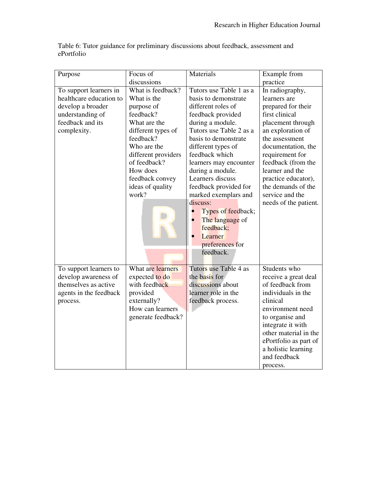| Purpose                 | Focus of            | Materials               | Example from          |
|-------------------------|---------------------|-------------------------|-----------------------|
|                         | discussions         |                         | practice              |
| To support learners in  | What is feedback?   | Tutors use Table 1 as a | In radiography,       |
| healthcare education to | What is the         | basis to demonstrate    | learners are          |
| develop a broader       | purpose of          | different roles of      | prepared for their    |
| understanding of        | feedback?           | feedback provided       | first clinical        |
| feedback and its        | What are the        | during a module.        | placement through     |
| complexity.             | different types of  | Tutors use Table 2 as a | an exploration of     |
|                         | feedback?           | basis to demonstrate    | the assessment        |
|                         | Who are the         | different types of      | documentation, the    |
|                         | different providers | feedback which          | requirement for       |
|                         | of feedback?        | learners may encounter  | feedback (from the    |
|                         | How does            | during a module.        | learner and the       |
|                         | feedback convey     | Learners discuss        | practice educator),   |
|                         | ideas of quality    | feedback provided for   | the demands of the    |
|                         | work?               | marked exemplars and    | service and the       |
|                         |                     | discuss:                | needs of the patient. |
|                         |                     | Types of feedback;      |                       |
|                         |                     | The language of         |                       |
|                         |                     | feedback;               |                       |
|                         |                     | Learner                 |                       |
|                         |                     | preferences for         |                       |
|                         |                     | feedback.               |                       |
|                         |                     |                         |                       |
| To support learners to  | What are learners   | Tutors use Table 4 as   | Students who          |
| develop awareness of    | expected to do      | the basis for           | receive a great deal  |
| themselves as active    | with feedback       | discussions about       | of feedback from      |
| agents in the feedback  | provided            | learner role in the     | individuals in the    |
| process.                | externally?         | feedback process.       | clinical              |
|                         | How can learners    |                         | environment need      |
|                         | generate feedback?  |                         | to organise and       |
|                         |                     |                         | integrate it with     |
|                         |                     |                         | other material in the |
|                         |                     |                         | ePortfolio as part of |
|                         |                     |                         | a holistic learning   |
|                         |                     |                         | and feedback          |
|                         |                     |                         | process.              |

Table 6: Tutor guidance for preliminary discussions about feedback, assessment and ePortfolio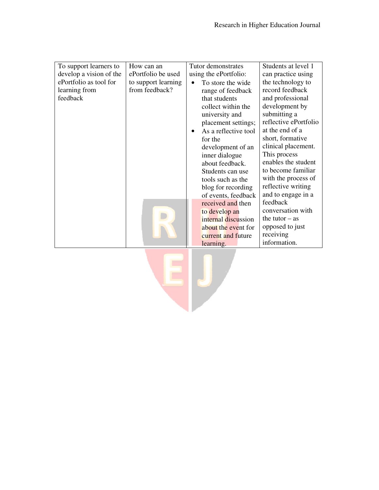| To support learners to  | How can an          | Tutor demonstrates             | Students at level 1   |
|-------------------------|---------------------|--------------------------------|-----------------------|
| develop a vision of the | ePortfolio be used  | using the ePortfolio:          | can practice using    |
| ePortfolio as tool for  | to support learning | To store the wide<br>$\bullet$ | the technology to     |
| learning from           | from feedback?      | range of feedback              | record feedback       |
| feedback                |                     | that students                  | and professional      |
|                         |                     | collect within the             | development by        |
|                         |                     | university and                 | submitting a          |
|                         |                     | placement settings;            | reflective ePortfolio |
|                         |                     | As a reflective tool           | at the end of a       |
|                         |                     | for the                        | short, formative      |
|                         |                     | development of an              | clinical placement.   |
|                         |                     | inner dialogue                 | This process          |
|                         |                     | about feedback.                | enables the student   |
|                         |                     | Students can use               | to become familiar    |
|                         |                     | tools such as the              | with the process of   |
|                         |                     | blog for recording             | reflective writing    |
|                         |                     | of events, feedback            | and to engage in a    |
|                         |                     | received and then              | feedback              |
|                         |                     | to develop an                  | conversation with     |
|                         |                     | internal discussion            | the tutor $-$ as      |
|                         |                     | about the event for            | opposed to just       |
|                         |                     | current and future             | receiving             |
|                         |                     | learning.                      | information.          |
|                         |                     |                                |                       |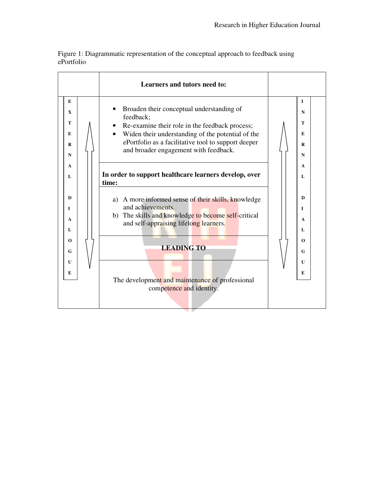Figure 1: Diagrammatic representation of the conceptual approach to feedback using ePortfolio

|                                                        | Learners and tutors need to:                                                                                                                                                                                                                                                  |                                                        |
|--------------------------------------------------------|-------------------------------------------------------------------------------------------------------------------------------------------------------------------------------------------------------------------------------------------------------------------------------|--------------------------------------------------------|
| E                                                      | Broaden their conceptual understanding of                                                                                                                                                                                                                                     | 1                                                      |
| X                                                      | feedback;                                                                                                                                                                                                                                                                     | N                                                      |
| т                                                      | Re-examine their role in the feedback process;                                                                                                                                                                                                                                | т                                                      |
| E                                                      | Widen their understanding of the potential of the                                                                                                                                                                                                                             | E                                                      |
| R                                                      | ePortfolio as a facilitative tool to support deeper                                                                                                                                                                                                                           | R                                                      |
| N                                                      | and broader engagement with feedback.                                                                                                                                                                                                                                         | N                                                      |
| A                                                      | In order to support healthcare learners develop, over                                                                                                                                                                                                                         | A                                                      |
| L                                                      | time:                                                                                                                                                                                                                                                                         | L                                                      |
| D<br>I<br>A<br>L<br>$\Omega$<br>G<br>$\mathbf{U}$<br>E | a) A more informed sense of their skills, knowledge<br>and achievements.<br>b) The skills and knowledge to become self-critical<br>and self-appraising lifelong learners.<br><b>LEADING TO</b><br>The development and maintenance of professional<br>competence and identity. | D<br>L<br>A<br>L<br>$\Omega$<br>G<br>$\mathbf{U}$<br>E |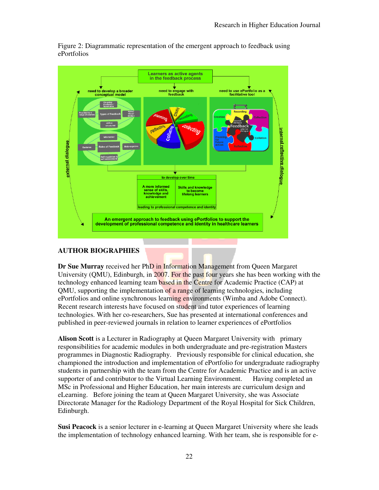

Figure 2: Diagrammatic representation of the emergent approach to feedback using ePortfolios

# **AUTHOR BIOGRAPHIES**

**Dr Sue Murray** received her PhD in Information Management from Queen Margaret University (OMU), Edinburgh, in 2007. For the past four years she has been working with the technology enhanced learning team based in the Centre for Academic Practice (CAP) at QMU, supporting the implementation of a range of learning technologies, including ePortfolios and online synchronous learning environments (Wimba and Adobe Connect). Recent research interests have focused on student and tutor experiences of learning technologies. With her co-researchers, Sue has presented at international conferences and published in peer-reviewed journals in relation to learner experiences of ePortfolios

**Alison Scott** is a Lecturer in Radiography at Queen Margaret University with primary responsibilities for academic modules in both undergraduate and pre-registration Masters programmes in Diagnostic Radiography. Previously responsible for clinical education, she championed the introduction and implementation of ePortfolio for undergraduate radiography students in partnership with the team from the Centre for Academic Practice and is an active supporter of and contributor to the Virtual Learning Environment. Having completed an MSc in Professional and Higher Education, her main interests are curriculum design and eLearning. Before joining the team at Queen Margaret University, she was Associate Directorate Manager for the Radiology Department of the Royal Hospital for Sick Children, Edinburgh.

**Susi Peacock** is a senior lecturer in e-learning at Queen Margaret University where she leads the implementation of technology enhanced learning. With her team, she is responsible for e